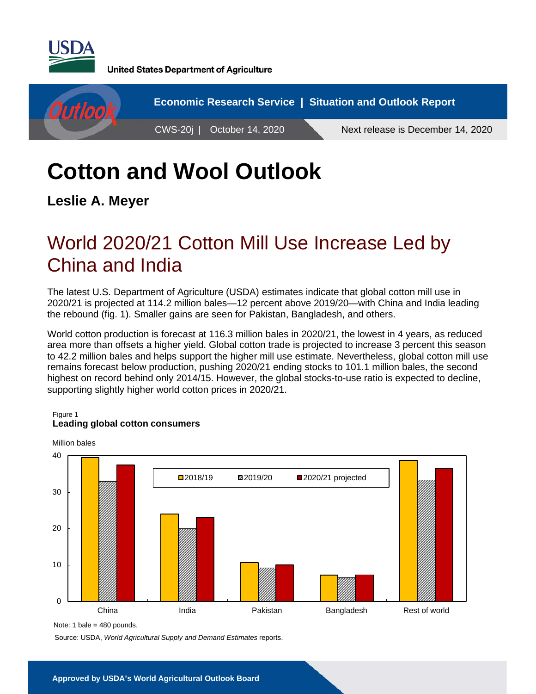

**United States Department of Agriculture** 



# **Cotton and Wool Outlook**

**Leslie A. Meyer** 

## World 2020/21 Cotton Mill Use Increase Led by China and India

The latest U.S. Department of Agriculture (USDA) estimates indicate that global cotton mill use in 2020/21 is projected at 114.2 million bales—12 percent above 2019/20—with China and India leading the rebound (fig. 1). Smaller gains are seen for Pakistan, Bangladesh, and others.

World cotton production is forecast at 116.3 million bales in 2020/21, the lowest in 4 years, as reduced area more than offsets a higher yield. Global cotton trade is projected to increase 3 percent this season to 42.2 million bales and helps support the higher mill use estimate. Nevertheless, global cotton mill use remains forecast below production, pushing 2020/21 ending stocks to 101.1 million bales, the second highest on record behind only 2014/15. However, the global stocks-to-use ratio is expected to decline, supporting slightly higher world cotton prices in 2020/21.

#### Figure 1

#### **Leading global cotton consumers**



Note: 1 bale = 480 pounds.

Source: USDA, *World Agricultural Supply and Demand Estimates* reports.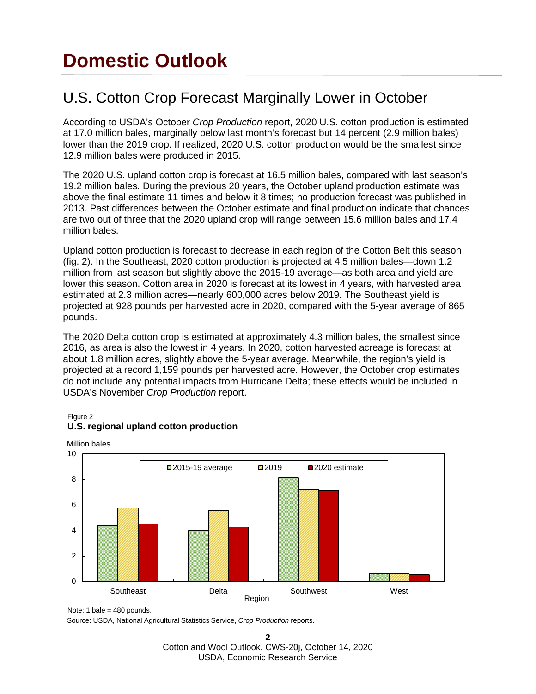## **Domestic Outlook**

### U.S. Cotton Crop Forecast Marginally Lower in October

According to USDA's October *Crop Production* report, 2020 U.S. cotton production is estimated at 17.0 million bales, marginally below last month's forecast but 14 percent (2.9 million bales) lower than the 2019 crop. If realized, 2020 U.S. cotton production would be the smallest since 12.9 million bales were produced in 2015.

The 2020 U.S. upland cotton crop is forecast at 16.5 million bales, compared with last season's 19.2 million bales. During the previous 20 years, the October upland production estimate was above the final estimate 11 times and below it 8 times; no production forecast was published in 2013. Past differences between the October estimate and final production indicate that chances are two out of three that the 2020 upland crop will range between 15.6 million bales and 17.4 million bales.

Upland cotton production is forecast to decrease in each region of the Cotton Belt this season (fig. 2). In the Southeast, 2020 cotton production is projected at 4.5 million bales—down 1.2 million from last season but slightly above the 2015-19 average—as both area and yield are lower this season. Cotton area in 2020 is forecast at its lowest in 4 years, with harvested area estimated at 2.3 million acres—nearly 600,000 acres below 2019. The Southeast yield is projected at 928 pounds per harvested acre in 2020, compared with the 5-year average of 865 pounds.

The 2020 Delta cotton crop is estimated at approximately 4.3 million bales, the smallest since 2016, as area is also the lowest in 4 years. In 2020, cotton harvested acreage is forecast at about 1.8 million acres, slightly above the 5-year average. Meanwhile, the region's yield is projected at a record 1,159 pounds per harvested acre. However, the October crop estimates do not include any potential impacts from Hurricane Delta; these effects would be included in USDA's November *Crop Production* report.



### **U.S. regional upland cotton production**

Figure 2

Source: USDA, National Agricultural Statistics Service, *Crop Production* reports.

**2**  Cotton and Wool Outlook, CWS-20j, October 14, 2020 USDA, Economic Research Service

Note: 1 bale =  $480$  pounds.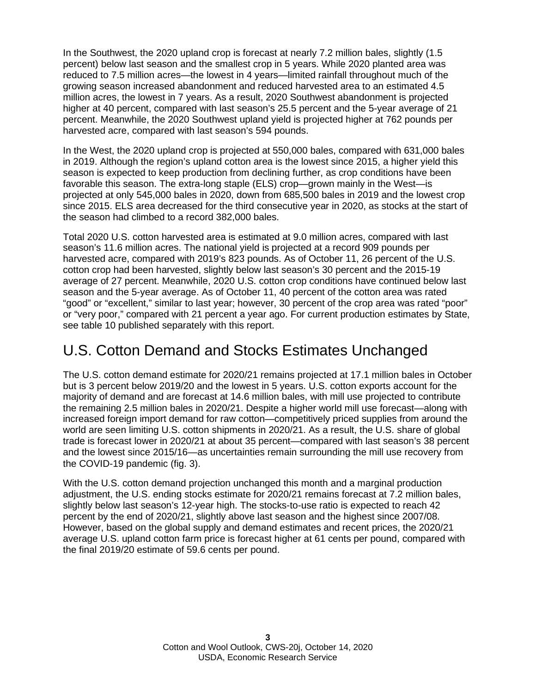In the Southwest, the 2020 upland crop is forecast at nearly 7.2 million bales, slightly (1.5 percent) below last season and the smallest crop in 5 years. While 2020 planted area was reduced to 7.5 million acres—the lowest in 4 years—limited rainfall throughout much of the growing season increased abandonment and reduced harvested area to an estimated 4.5 million acres, the lowest in 7 years. As a result, 2020 Southwest abandonment is projected higher at 40 percent, compared with last season's 25.5 percent and the 5-year average of 21 percent. Meanwhile, the 2020 Southwest upland yield is projected higher at 762 pounds per harvested acre, compared with last season's 594 pounds.

In the West, the 2020 upland crop is projected at 550,000 bales, compared with 631,000 bales in 2019. Although the region's upland cotton area is the lowest since 2015, a higher yield this season is expected to keep production from declining further, as crop conditions have been favorable this season. The extra-long staple (ELS) crop—grown mainly in the West—is projected at only 545,000 bales in 2020, down from 685,500 bales in 2019 and the lowest crop since 2015. ELS area decreased for the third consecutive year in 2020, as stocks at the start of the season had climbed to a record 382,000 bales.

Total 2020 U.S. cotton harvested area is estimated at 9.0 million acres, compared with last season's 11.6 million acres. The national yield is projected at a record 909 pounds per harvested acre, compared with 2019's 823 pounds. As of October 11, 26 percent of the U.S. cotton crop had been harvested, slightly below last season's 30 percent and the 2015-19 average of 27 percent. Meanwhile, 2020 U.S. cotton crop conditions have continued below last season and the 5-year average. As of October 11, 40 percent of the cotton area was rated "good" or "excellent," similar to last year; however, 30 percent of the crop area was rated "poor" or "very poor," compared with 21 percent a year ago. For current production estimates by State, see table 10 published separately with this report.

### U.S. Cotton Demand and Stocks Estimates Unchanged

The U.S. cotton demand estimate for 2020/21 remains projected at 17.1 million bales in October but is 3 percent below 2019/20 and the lowest in 5 years. U.S. cotton exports account for the majority of demand and are forecast at 14.6 million bales, with mill use projected to contribute the remaining 2.5 million bales in 2020/21. Despite a higher world mill use forecast—along with increased foreign import demand for raw cotton—competitively priced supplies from around the world are seen limiting U.S. cotton shipments in 2020/21. As a result, the U.S. share of global trade is forecast lower in 2020/21 at about 35 percent—compared with last season's 38 percent and the lowest since 2015/16—as uncertainties remain surrounding the mill use recovery from the COVID-19 pandemic (fig. 3).

With the U.S. cotton demand projection unchanged this month and a marginal production adjustment, the U.S. ending stocks estimate for 2020/21 remains forecast at 7.2 million bales, slightly below last season's 12-year high. The stocks-to-use ratio is expected to reach 42 percent by the end of 2020/21, slightly above last season and the highest since 2007/08. However, based on the global supply and demand estimates and recent prices, the 2020/21 average U.S. upland cotton farm price is forecast higher at 61 cents per pound, compared with the final 2019/20 estimate of 59.6 cents per pound.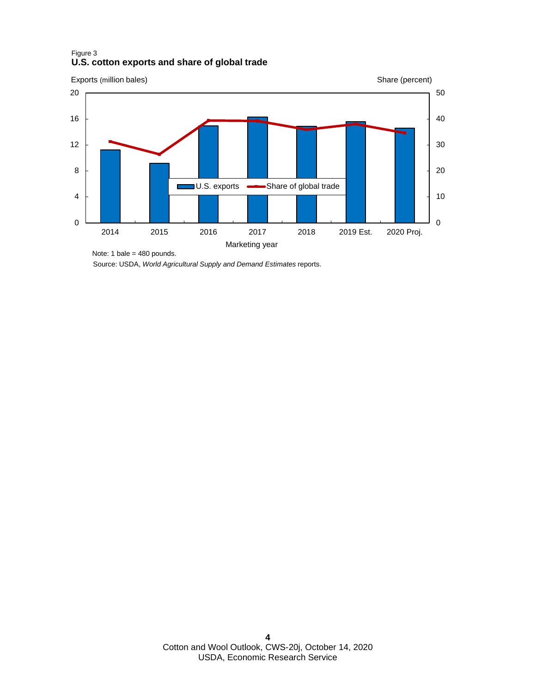#### Figure 3 **U.S. cotton exports and share of global trade**



Source: USDA, *World Agricultural Supply and Demand Estimates* reports.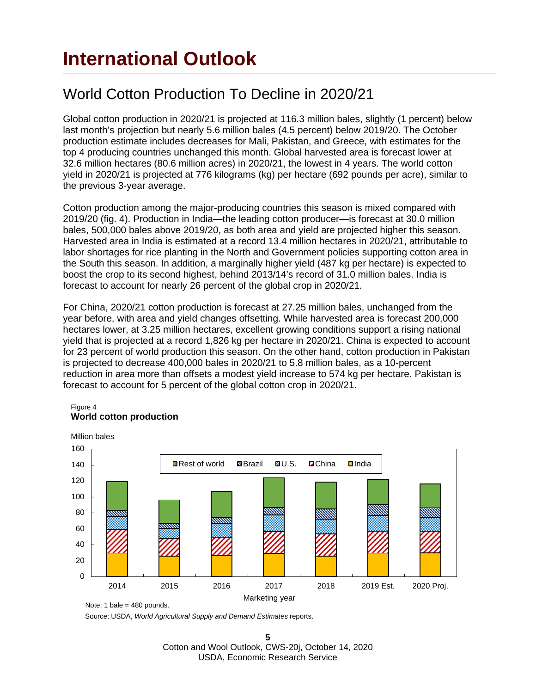### World Cotton Production To Decline in 2020/21

Global cotton production in 2020/21 is projected at 116.3 million bales, slightly (1 percent) below last month's projection but nearly 5.6 million bales (4.5 percent) below 2019/20. The October production estimate includes decreases for Mali, Pakistan, and Greece, with estimates for the top 4 producing countries unchanged this month. Global harvested area is forecast lower at 32.6 million hectares (80.6 million acres) in 2020/21, the lowest in 4 years. The world cotton yield in 2020/21 is projected at 776 kilograms (kg) per hectare (692 pounds per acre), similar to the previous 3-year average.

Cotton production among the major-producing countries this season is mixed compared with 2019/20 (fig. 4). Production in India—the leading cotton producer—is forecast at 30.0 million bales, 500,000 bales above 2019/20, as both area and yield are projected higher this season. Harvested area in India is estimated at a record 13.4 million hectares in 2020/21, attributable to labor shortages for rice planting in the North and Government policies supporting cotton area in the South this season. In addition, a marginally higher yield (487 kg per hectare) is expected to boost the crop to its second highest, behind 2013/14's record of 31.0 million bales. India is forecast to account for nearly 26 percent of the global crop in 2020/21.

For China, 2020/21 cotton production is forecast at 27.25 million bales, unchanged from the year before, with area and yield changes offsetting. While harvested area is forecast 200,000 hectares lower, at 3.25 million hectares, excellent growing conditions support a rising national yield that is projected at a record 1,826 kg per hectare in 2020/21. China is expected to account for 23 percent of world production this season. On the other hand, cotton production in Pakistan is projected to decrease 400,000 bales in 2020/21 to 5.8 million bales, as a 10-percent reduction in area more than offsets a modest yield increase to 574 kg per hectare. Pakistan is forecast to account for 5 percent of the global cotton crop in 2020/21.

#### Figure 4 **World cotton production**



Source: USDA, *World Agricultural Supply and Demand Estimates* reports.

**5** Cotton and Wool Outlook, CWS-20j, October 14, 2020 USDA, Economic Research Service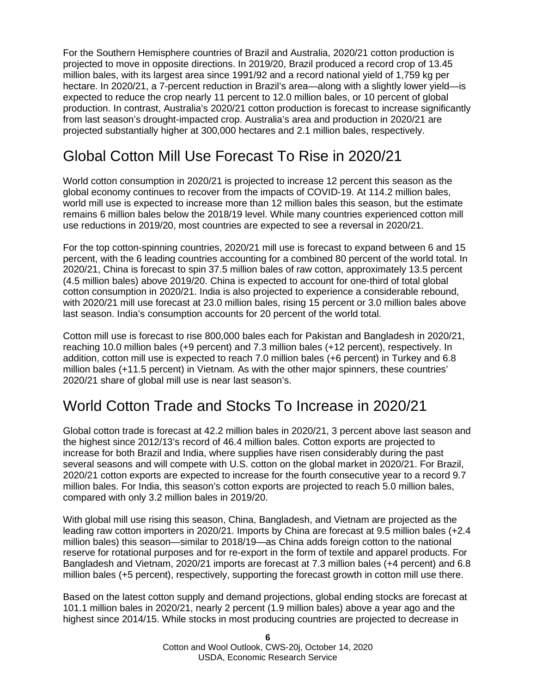For the Southern Hemisphere countries of Brazil and Australia, 2020/21 cotton production is projected to move in opposite directions. In 2019/20, Brazil produced a record crop of 13.45 million bales, with its largest area since 1991/92 and a record national yield of 1,759 kg per hectare. In 2020/21, a 7-percent reduction in Brazil's area—along with a slightly lower yield—is expected to reduce the crop nearly 11 percent to 12.0 million bales, or 10 percent of global production. In contrast, Australia's 2020/21 cotton production is forecast to increase significantly from last season's drought-impacted crop. Australia's area and production in 2020/21 are projected substantially higher at 300,000 hectares and 2.1 million bales, respectively.

### Global Cotton Mill Use Forecast To Rise in 2020/21

World cotton consumption in 2020/21 is projected to increase 12 percent this season as the global economy continues to recover from the impacts of COVID-19. At 114.2 million bales, world mill use is expected to increase more than 12 million bales this season, but the estimate remains 6 million bales below the 2018/19 level. While many countries experienced cotton mill use reductions in 2019/20, most countries are expected to see a reversal in 2020/21.

For the top cotton-spinning countries, 2020/21 mill use is forecast to expand between 6 and 15 percent, with the 6 leading countries accounting for a combined 80 percent of the world total. In 2020/21, China is forecast to spin 37.5 million bales of raw cotton, approximately 13.5 percent (4.5 million bales) above 2019/20. China is expected to account for one-third of total global cotton consumption in 2020/21. India is also projected to experience a considerable rebound, with 2020/21 mill use forecast at 23.0 million bales, rising 15 percent or 3.0 million bales above last season. India's consumption accounts for 20 percent of the world total.

Cotton mill use is forecast to rise 800,000 bales each for Pakistan and Bangladesh in 2020/21, reaching 10.0 million bales (+9 percent) and 7.3 million bales (+12 percent), respectively. In addition, cotton mill use is expected to reach 7.0 million bales (+6 percent) in Turkey and 6.8 million bales (+11.5 percent) in Vietnam. As with the other major spinners, these countries' 2020/21 share of global mill use is near last season's.

### World Cotton Trade and Stocks To Increase in 2020/21

Global cotton trade is forecast at 42.2 million bales in 2020/21, 3 percent above last season and the highest since 2012/13's record of 46.4 million bales. Cotton exports are projected to increase for both Brazil and India, where supplies have risen considerably during the past several seasons and will compete with U.S. cotton on the global market in 2020/21. For Brazil, 2020/21 cotton exports are expected to increase for the fourth consecutive year to a record 9.7 million bales. For India, this season's cotton exports are projected to reach 5.0 million bales, compared with only 3.2 million bales in 2019/20.

With global mill use rising this season, China, Bangladesh, and Vietnam are projected as the leading raw cotton importers in 2020/21. Imports by China are forecast at 9.5 million bales (+2.4 million bales) this season—similar to 2018/19—as China adds foreign cotton to the national reserve for rotational purposes and for re-export in the form of textile and apparel products. For Bangladesh and Vietnam, 2020/21 imports are forecast at 7.3 million bales (+4 percent) and 6.8 million bales (+5 percent), respectively, supporting the forecast growth in cotton mill use there.

Based on the latest cotton supply and demand projections, global ending stocks are forecast at 101.1 million bales in 2020/21, nearly 2 percent (1.9 million bales) above a year ago and the highest since 2014/15. While stocks in most producing countries are projected to decrease in